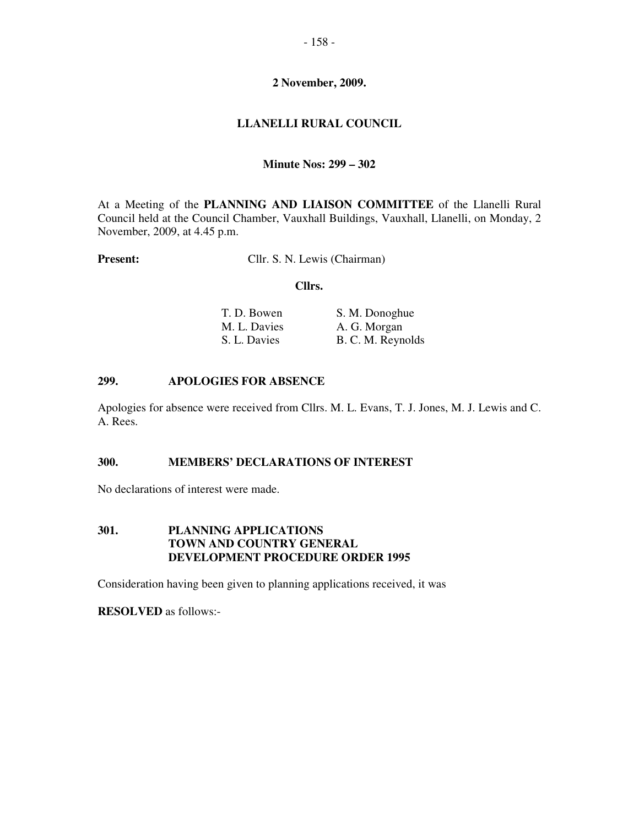# **2 November, 2009.**

# **LLANELLI RURAL COUNCIL**

### **Minute Nos: 299 – 302**

At a Meeting of the **PLANNING AND LIAISON COMMITTEE** of the Llanelli Rural Council held at the Council Chamber, Vauxhall Buildings, Vauxhall, Llanelli, on Monday, 2 November, 2009, at 4.45 p.m.

**Present:** Cllr. S. N. Lewis (Chairman)

#### **Cllrs.**

| T. D. Bowen  | S. M. Donoghue    |
|--------------|-------------------|
| M. L. Davies | A. G. Morgan      |
| S. L. Davies | B. C. M. Reynolds |

#### **299. APOLOGIES FOR ABSENCE**

Apologies for absence were received from Cllrs. M. L. Evans, T. J. Jones, M. J. Lewis and C. A. Rees.

#### **300. MEMBERS' DECLARATIONS OF INTEREST**

No declarations of interest were made.

#### **301. PLANNING APPLICATIONS TOWN AND COUNTRY GENERAL DEVELOPMENT PROCEDURE ORDER 1995**

Consideration having been given to planning applications received, it was

**RESOLVED** as follows:-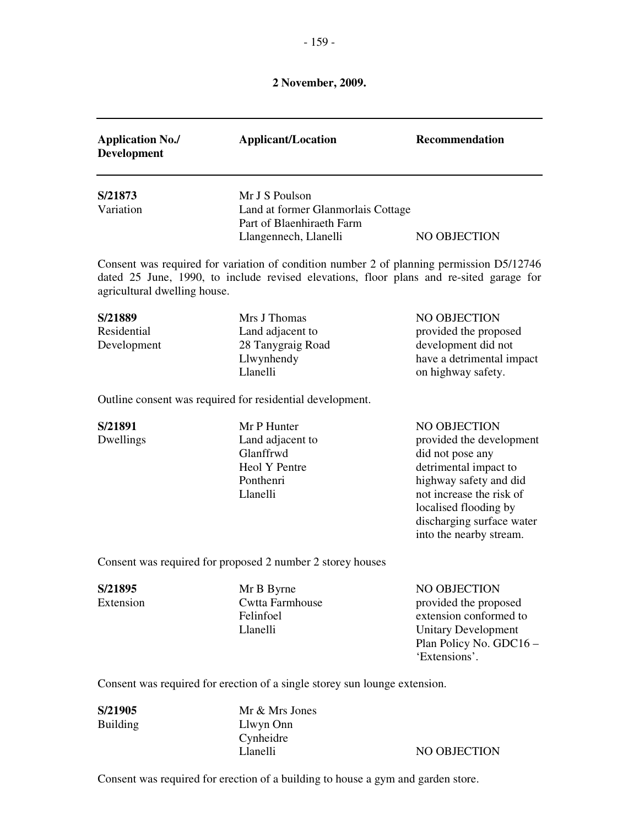# **2 November, 2009.**

| <b>Application No./</b><br><b>Development</b> | <b>Applicant/Location</b>                                                                                                                                                                                    | Recommendation                                                                                                                                                                                                               |
|-----------------------------------------------|--------------------------------------------------------------------------------------------------------------------------------------------------------------------------------------------------------------|------------------------------------------------------------------------------------------------------------------------------------------------------------------------------------------------------------------------------|
| S/21873<br>Variation                          | Mr J S Poulson<br>Land at former Glanmorlais Cottage<br>Part of Blaenhiraeth Farm                                                                                                                            | NO OBJECTION                                                                                                                                                                                                                 |
| agricultural dwelling house.                  | Llangennech, Llanelli<br>Consent was required for variation of condition number 2 of planning permission D5/12746<br>dated 25 June, 1990, to include revised elevations, floor plans and re-sited garage for |                                                                                                                                                                                                                              |
| S/21889<br>Residential<br>Development         | Mrs J Thomas<br>Land adjacent to<br>28 Tanygraig Road<br>Llwynhendy<br>Llanelli                                                                                                                              | NO OBJECTION<br>provided the proposed<br>development did not<br>have a detrimental impact<br>on highway safety.                                                                                                              |
|                                               | Outline consent was required for residential development.                                                                                                                                                    |                                                                                                                                                                                                                              |
| S/21891<br>Dwellings                          | Mr P Hunter<br>Land adjacent to<br>Glanffrwd<br>Heol Y Pentre<br>Ponthenri<br>Llanelli                                                                                                                       | NO OBJECTION<br>provided the development<br>did not pose any<br>detrimental impact to<br>highway safety and did<br>not increase the risk of<br>localised flooding by<br>discharging surface water<br>into the nearby stream. |
|                                               | Consent was required for proposed 2 number 2 storey houses                                                                                                                                                   |                                                                                                                                                                                                                              |
| S/21895<br>Extension                          | Mr B Byrne<br>Cwtta Farmhouse<br>Felinfoel<br>Llanelli                                                                                                                                                       | NO OBJECTION<br>provided the proposed<br>extension conformed to<br><b>Unitary Development</b><br>Plan Policy No. GDC16 -<br>'Extensions'.                                                                                    |
|                                               | Consent was required for erection of a single storey sun lounge extension.                                                                                                                                   |                                                                                                                                                                                                                              |

**S/21905 Mr & Mrs Jones**<br>Building **Llwyn** Onn Llwyn Onn Cynheidre<br>Llanelli

NO OBJECTION

Consent was required for erection of a building to house a gym and garden store.